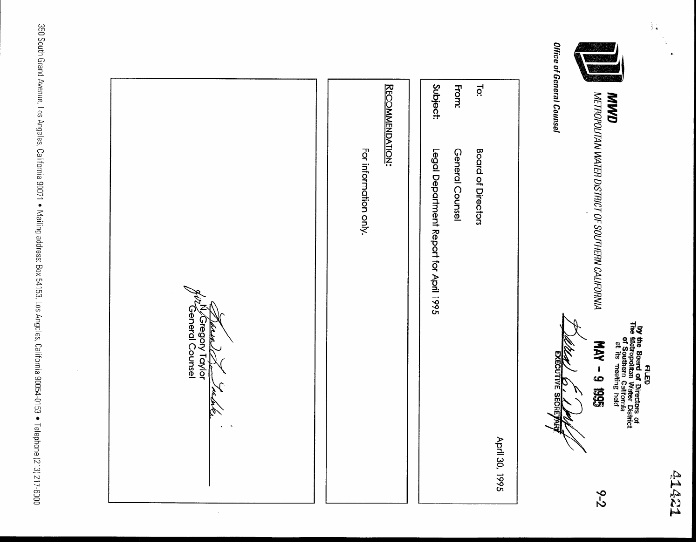**A1421** 

**by the Board of Directors of The Board of Directors of The Metropolitan Water District<br>The Metropolitan Water District<br>of Southern California<br>at its meeting held** 

 $\frac{1}{2}$  .

METROPOLITAN WATER DISTRICT OF SOUTHERN CALIFORNIA

 $6 - 2$ 

**ANND** 

Office of General Counsel

SG61 6 - YAM **KECUTIVE SECR** 

|                | Legal Department Report for April 1995 | Subject:     |
|----------------|----------------------------------------|--------------|
|                | General Counsel                        | <b>From:</b> |
|                | <b>Board of Directors</b>              | <u>ੋਂ</u>    |
| April 30, 1995 |                                        |              |

**RECOMMENDATION:** 

For information only.

General Counsel N/Gregory Taylor خلمعلار Ò

350 South Grand Avenue, Los Angeles, California 90071 • Mailing address: Box 54153, Los Angeles, California 90054-0153 • Telephone (213) 217-6000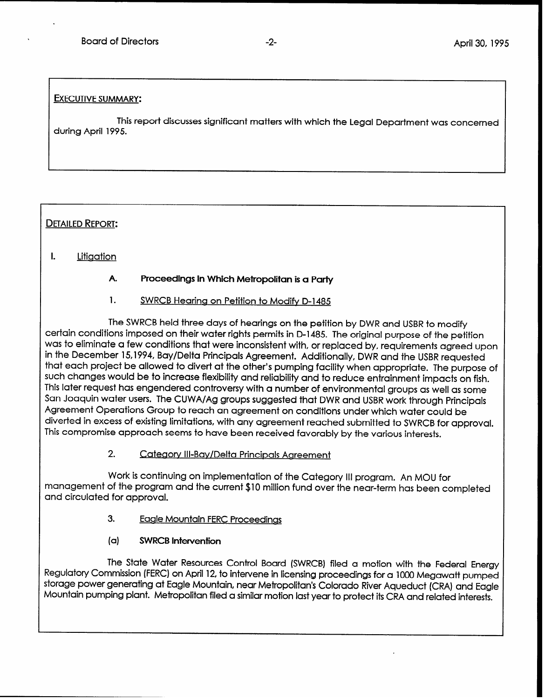## EXECUTIVE SUMMARY:

.

This report discusses significant matters with which the Legal Department was concerned during April 1995.

# **DETAILED REPORT:**

#### L **Litigation**

#### A. Proceedings in Which Metropolitan is a Party

#### 1. SWRCB Hearina on Petition to Modifv D-1485

The SWRCB held three days of hearings on the petition by DWR and USBR to modify certain conditions imposed on their water rights permits in D-1485. The original purpose of the petition was to eliminate a few conditions that were inconsistent with, or replaced by, requirements agreed upon in the December 15,1994, Bay/Delta Principals Agreement. Additionally, DWR and the USBR requested that each project be allowed to divert at the other's pumping facility when appropriate. The purpose of such changes would be to increase flexibility and reliability and to reduce entrainment impacts on fish. This later request has engendered controversy with a number of environmental groups as well as some San Joaquin water users. The CUWA/Ag groups suggested that DWR and USBR work through Principals Agreement Operations Group to reach an agreement on conditions under which water could be diverted in excess of existing limitations, with any agreement reached submitted to SWRCB for approval. This compromise approach seems to have been received favorably by the various interests.

# 2. Cateaorv Ill-Bay/Delta Principals Agreement

Work is continuing on implementation of the Category III program. An MOU for management of the program and the current \$10 million fund over the near-term has been completed and circulated for approval.

- 3. Eaale Mountain FERC Proceedinas
- (a) SWRCB Intervention

The State Water Resources Control Board (SWRCB) filed a motion with the Federal Energy Regulatory Commission (FERC) on April 12, to intervene in licensing proceedings for a 1000 Megawatt pumped storage power generating at Eagle Mountain, near Metropolitan's Colorado River Aqueduct (CRA) and Eagle Mountain pumping plant. Metropolitan filed a similar motion last year to protect its CRA and related interests.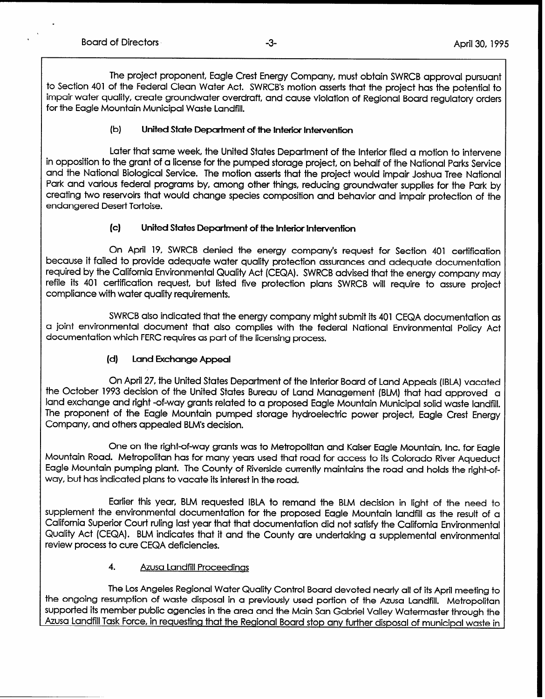The project proponent, Eagle Crest Energy Company, must obtain SWRCB approval pursuant to Section 401 of the Federal Clean Water Act. SWRCB's motion asserts that the project has the potential to impair water quality, create groundwater overdraft, and cause violation of Regional Board regulatory orders for the Eagle Mountain Municipal Waste Landfill.

### (b) United State Department of the Interior Intervention

Later that same week, the United States Department of the Interior filed a motion to intervene in opposition to the grant of a license for the pumped storage project, on behalf of the National Parks Service and the National Biological Service. The motion asserts that the project would impair Joshua Tree National Park and various federal programs by, among other things, reducing groundwater supplies for the Park by creating two reservoirs that would change species composition and behavior and impair protection of the endangered Desert Tortoise.

## (4 United States Department of the Interior Intervention

On April 19, SWRCB denied the energy company's request for Section 401 certification because it failed to provide adequate water quality protection assurances and adequate documentation required by the California Environmental Quality Act (CEQA). SWRCB advised that the energy company may refile its 401 certification request, but listed five protection plans SWRCB will require to assure project compliance with water quality requirements.

SWRCB also indicated that the energy company might submit its 401 CEQA documentation as a joint environmental document that also complies with the federal National Environmental Policy Act documentation which FERC requires as part of the licensing process.

# (d) Land Exchange Appeal

On April 27, the United States Department of the Interior Board of Land Appeals (IBLA) vacated the October 1993 decision of the United States Bureau of Land Management (BLM) that had approved a land exchange and right -of-way grants related to a proposed Eagle Mountain Municipal solid waste landfill. The proponent of the Eagle Mountain pumped storage hydroelectric power project, Eagle Crest Energy Company, and others appealed BLM's decision.

One on the right-of-way grants was to Metropolitan and Kaiser Eagle Mountain, Inc. for Eagle Mountain Road. Metropolitan has for many years used that road for access to its Colorado River Aqueduct Eagle Mountain pumping plant. The County of Riverside currently maintains the road and holds the right-ofway, but has indicated plans to vacate its interest in the road.

Earlier this year, BLM requested IBLA to remand the BLM decision in light of the need to supplement the environmental documentation for the proposed Eagle Mountain landfill as the result of a California Superior Court ruling last year that that documentation did not satisfy the California Environmental Quality Act (CEQA). BLM indicates that it and the County are undertaking a supplemental environmental review process to cure CEQA deficiencies.

### 4. Azusa Landfill Proceedinas

The Los Angeles Regional Water Quality Control Board devoted nearly all of its April meeting to the ongoing resumption of waste disposal in a previously used portion of the Azusa Landfill. Metropolitan supported its member public agencies in the area and the Main San Gabriel Valley Watermaster through the Azusa Landfill Task Force, in requesting that the Regional Board stop any further disposal of municipal waste in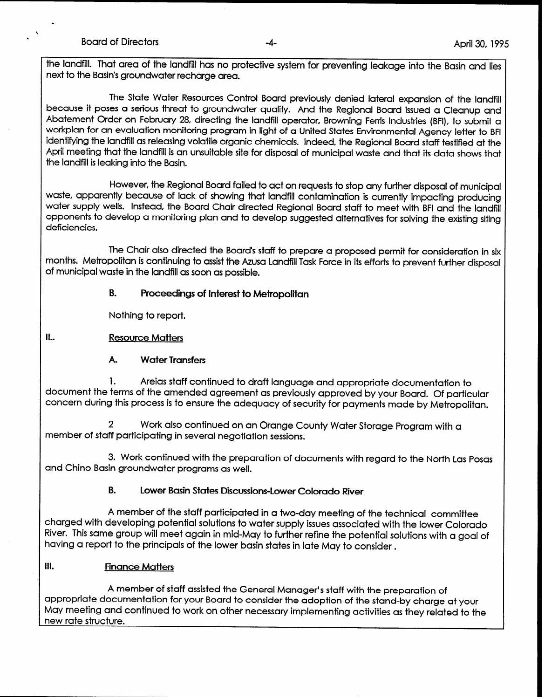the landfill. That area of the landfill has no protective system for preventing leakage into the Basin and lies next to the Basin's groundwater recharge area.

The State Water Resources Control Board previously denied lateral expansion of the landfill because it poses a serious threat to groundwater quality. And the Regional Board issued a Cleanup and Abatement Order on February 28, directing the landfill operator, Browning Fenis Industries (BFI), to submit a workplan for an evaluation monitoring program in light of a United States Environmental Agency letter to BFI identifying the landfill as releasing volatile organic chemicals. Indeed, the Regional Board staff testified at the April meeting that the landfill is an unsuitable site for disposal of municipal waste and that its data shows that the landfill is leaking into the Basin.

However, the Regional Board failed to act on requests to stop any further disposal of municipal waste, apparently because of lack of showing that landfill contamination is currently impacting producing water supply wells. Instead, the Board Chair directed Regional Board staff to meet with BFI and the landfill opponents to develop a monitoring plan and to develop suggested alternatives for solving the existing siting deficiencies.

The Chair also directed the Board's staff to prepare a proposed permit for consideration in six months. Metropolitan is continuing to assist the Azusa Landfill Task Force in its efforts to prevent further disposal of municipal waste in the landfill as soon as possible.

## B. Proceedings of Interest to Metropolitan

Nothing to report.

II.. Resource Matters

### A. Water Transfers

1. Areias staff continued to draft language and appropriate documentation to document the terms of the amended agreement as previously approved by your Board. Of particular concern during this process is to ensure the adequacy of security for payments made by Metropolitan.

2 Work also continued on an Orange County Water Storage Program with a member of staff participating in several negotiation sessions.

3. Work continued with the preparation of documents with regard to the North Las Posas and Chino Basin groundwater programs as well.

### B. Lower Basin States Discussions-Lower Colorado River

A member of the staff participated in a two-day meeting of the technical committee charged with developing potential solutions to water supply issues associated with the lower Colorado River. This same group will meet again in mid-May to further refine the potential solutions with a goal of having a report to the principals of the lower basin states in late May to consider.

# Ill. Finance Matters

A member of staff assisted the General Manager's staff with the preparation of appropriate documentation for your Board to consider the adoption of the stand-by charge at your May meeting and continued to work on other necessary implementing activities as they related to the new rate structure.